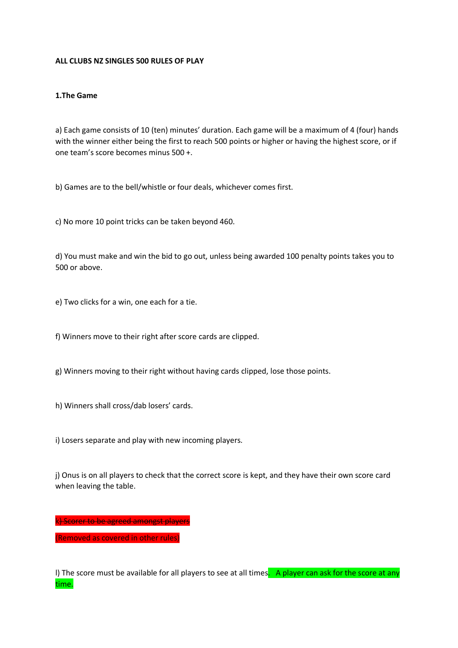#### **ALL CLUBS NZ SINGLES 500 RULES OF PLAY**

#### **1.The Game**

a) Each game consists of 10 (ten) minutes' duration. Each game will be a maximum of 4 (four) hands with the winner either being the first to reach 500 points or higher or having the highest score, or if one team's score becomes minus 500 +.

b) Games are to the bell/whistle or four deals, whichever comes first.

c) No more 10 point tricks can be taken beyond 460.

d) You must make and win the bid to go out, unless being awarded 100 penalty points takes you to 500 or above.

e) Two clicks for a win, one each for a tie.

f) Winners move to their right after score cards are clipped.

- g) Winners moving to their right without having cards clipped, lose those points.
- h) Winners shall cross/dab losers' cards.
- i) Losers separate and play with new incoming players.

j) Onus is on all players to check that the correct score is kept, and they have their own score card when leaving the table.

k) Scorer to be agreed amongst players

(Removed as covered in other rules)

I) The score must be available for all players to see at all times. A player can ask for the score at any time.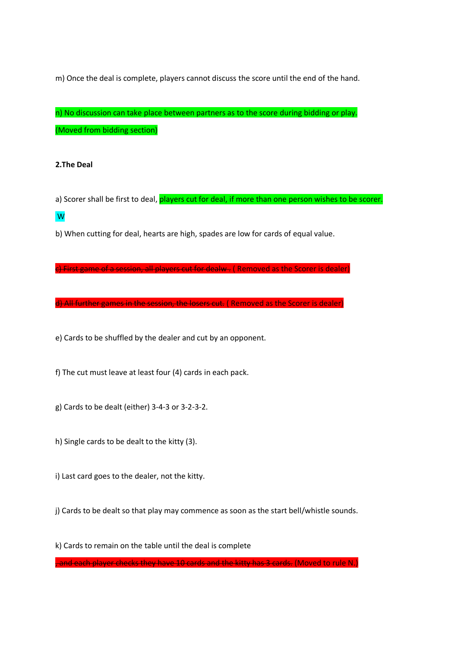m) Once the deal is complete, players cannot discuss the score until the end of the hand.

n) No discussion can take place between partners as to the score during bidding or play. (Moved from bidding section)

# **2.The Deal**

a) Scorer shall be first to deal, players cut for deal, if more than one person wishes to be scorer. W

b) When cutting for deal, hearts are high, spades are low for cards of equal value.

c) First game of a session, all players cut for dealw . ( Removed as the Scorer is dealer)

d) All further games in the session, the losers cut. ( Removed as the Scorer is dealer

e) Cards to be shuffled by the dealer and cut by an opponent.

f) The cut must leave at least four (4) cards in each pack.

g) Cards to be dealt (either) 3-4-3 or 3-2-3-2.

h) Single cards to be dealt to the kitty (3).

i) Last card goes to the dealer, not the kitty.

j) Cards to be dealt so that play may commence as soon as the start bell/whistle sounds.

k) Cards to remain on the table until the deal is complete

, and each player checks they have 10 cards and the kitty has 3 cards. (Moved to rule N.)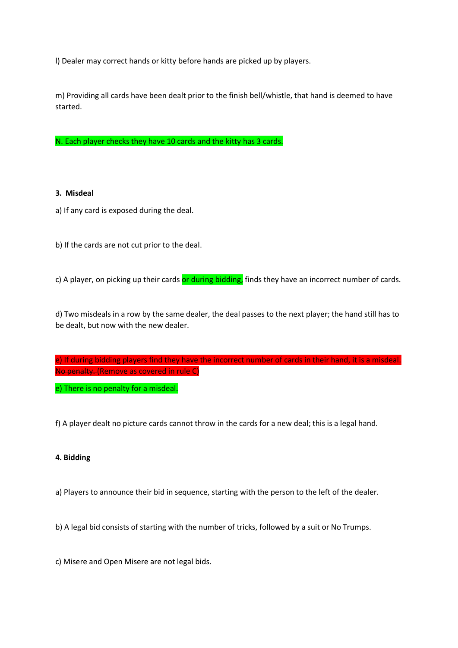l) Dealer may correct hands or kitty before hands are picked up by players.

m) Providing all cards have been dealt prior to the finish bell/whistle, that hand is deemed to have started.

N. Each player checks they have 10 cards and the kitty has 3 cards.

## **3. Misdeal**

a) If any card is exposed during the deal.

b) If the cards are not cut prior to the deal.

c) A player, on picking up their cards or during bidding, finds they have an incorrect number of cards.

d) Two misdeals in a row by the same dealer, the deal passes to the next player; the hand still has to be dealt, but now with the new dealer.

e) If during bidding players find they have the incorrect number of cards in their hand, it is a misdeal. No penalty. (Remove as covered in rule C)

e) There is no penalty for a misdeal.

f) A player dealt no picture cards cannot throw in the cards for a new deal; this is a legal hand.

## **4. Bidding**

a) Players to announce their bid in sequence, starting with the person to the left of the dealer.

b) A legal bid consists of starting with the number of tricks, followed by a suit or No Trumps.

c) Misere and Open Misere are not legal bids.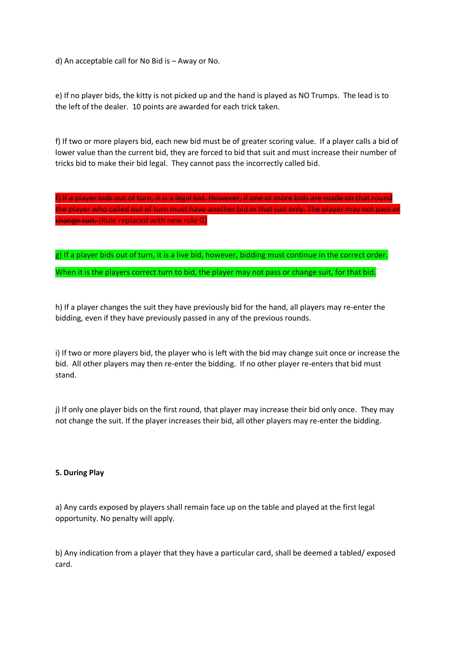d) An acceptable call for No Bid is – Away or No.

e) If no player bids, the kitty is not picked up and the hand is played as NO Trumps. The lead is to the left of the dealer. 10 points are awarded for each trick taken.

f) If two or more players bid, each new bid must be of greater scoring value. If a player calls a bid of lower value than the current bid, they are forced to bid that suit and must increase their number of tricks bid to make their bid legal. They cannot pass the incorrectly called bid.

f) If a player bids out of turn, it is a legal bid. However, if one or more bids are made on that round the player who called out of turn must have another bid in that suit only. The player may not pass or change suit. (Rule replaced with new rule G)

g) If a player bids out of turn, it is a live bid, however, bidding must continue in the correct order. When it is the players correct turn to bid, the player may not pass or change suit, for that bid.

h) If a player changes the suit they have previously bid for the hand, all players may re-enter the bidding, even if they have previously passed in any of the previous rounds.

i) If two or more players bid, the player who is left with the bid may change suit once or increase the bid. All other players may then re-enter the bidding. If no other player re-enters that bid must stand.

j) If only one player bids on the first round, that player may increase their bid only once. They may not change the suit. If the player increases their bid, all other players may re-enter the bidding.

## **5. During Play**

a) Any cards exposed by players shall remain face up on the table and played at the first legal opportunity. No penalty will apply.

b) Any indication from a player that they have a particular card, shall be deemed a tabled/ exposed card.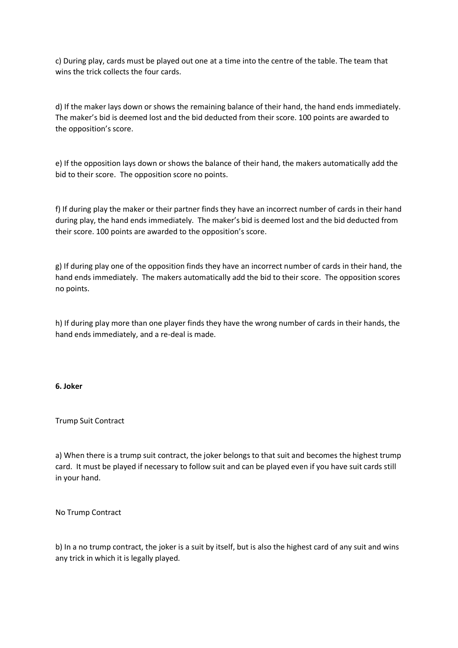c) During play, cards must be played out one at a time into the centre of the table. The team that wins the trick collects the four cards.

d) If the maker lays down or shows the remaining balance of their hand, the hand ends immediately. The maker's bid is deemed lost and the bid deducted from their score. 100 points are awarded to the opposition's score.

e) If the opposition lays down or shows the balance of their hand, the makers automatically add the bid to their score. The opposition score no points.

f) If during play the maker or their partner finds they have an incorrect number of cards in their hand during play, the hand ends immediately. The maker's bid is deemed lost and the bid deducted from their score. 100 points are awarded to the opposition's score.

g) If during play one of the opposition finds they have an incorrect number of cards in their hand, the hand ends immediately. The makers automatically add the bid to their score. The opposition scores no points.

h) If during play more than one player finds they have the wrong number of cards in their hands, the hand ends immediately, and a re-deal is made.

## **6. Joker**

## Trump Suit Contract

a) When there is a trump suit contract, the joker belongs to that suit and becomes the highest trump card. It must be played if necessary to follow suit and can be played even if you have suit cards still in your hand.

No Trump Contract

b) In a no trump contract, the joker is a suit by itself, but is also the highest card of any suit and wins any trick in which it is legally played.